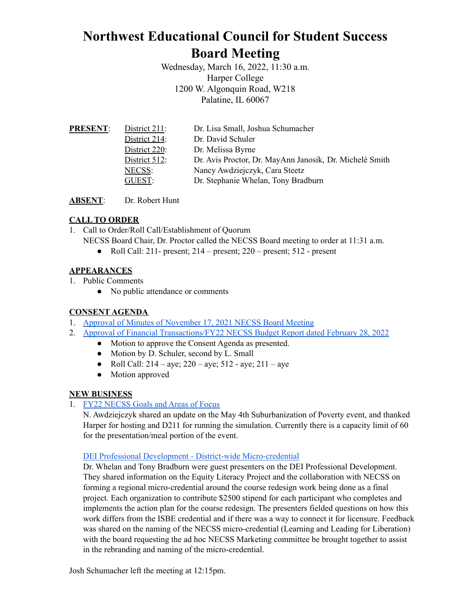# **Northwest Educational Council for Student Success Board Meeting**

Wednesday, March 16, 2022, 11:30 a.m. Harper College 1200 W. Algonquin Road, W218 Palatine, IL 60067

| <b>PRESENT:</b> | District $211$ : | Dr. Lisa Small, Joshua Schumacher                       |
|-----------------|------------------|---------------------------------------------------------|
|                 | District 214:    | Dr. David Schuler                                       |
|                 | District 220:    | Dr. Melissa Byrne                                       |
|                 | District 512:    | Dr. Avis Proctor, Dr. MayAnn Janosik, Dr. Michelé Smith |
|                 | NECSS:           | Nancy Awdziejczyk, Cara Steetz                          |
|                 | GUEST:           | Dr. Stephanie Whelan, Tony Bradburn                     |
|                 |                  |                                                         |

**ABSENT**: Dr. Robert Hunt

## **CALL TO ORDER**

1. Call to Order/Roll Call/Establishment of Quorum

NECSS Board Chair, Dr. Proctor called the NECSS Board meeting to order at 11:31 a.m.

• Roll Call: 211- present;  $214$  – present;  $220$  – present;  $512$  - present

#### **APPEARANCES**

- 1. Public Comments
	- No public attendance or comments

#### **CONSENT AGENDA**

- 1. Approval of Minutes of [November](https://docs.google.com/document/d/1cn64QyeV8cBgZngYpEZI7wJ7pi0Y01yIL_mHOfBWxDQ/edit?usp=sharing) 17, 2021 NECSS Board Meeting
- 2. Approval of Financial [Transactions/FY22](https://drive.google.com/file/d/1sFz1-_NxXgBafKthLH2lRiRod1OKYSzK/view?usp=sharing) NECSS Budget Report dated February 28, 2022
	- Motion to approve the Consent Agenda as presented.
	- Motion by D. Schuler, second by L. Small
	- Roll Call:  $214 aye$ ;  $220 aye$ ;  $512 aye$ ;  $211 aye$
	- Motion approved

#### **NEW BUSINESS**

1. FY22 [NECSS](https://docs.google.com/document/d/1WCyKQYVjGf7OFPGgGyN4lFNdD-NYGCE_E9SGa13YYhk/edit?usp=sharing) Goals and Areas of Focus

N. Awdziejczyk shared an update on the May 4th Suburbanization of Poverty event, and thanked Harper for hosting and D211 for running the simulation. Currently there is a capacity limit of 60 for the presentation/meal portion of the event.

#### DEI Professional Development - District-wide [Micro-credential](https://drive.google.com/file/d/1NLCdW8fcj1B36lR4dPX1iUW1zkcT438D/view?usp=sharing)

Dr. Whelan and Tony Bradburn were guest presenters on the DEI Professional Development. They shared information on the Equity Literacy Project and the collaboration with NECSS on forming a regional micro-credential around the course redesign work being done as a final project. Each organization to contribute \$2500 stipend for each participant who completes and implements the action plan for the course redesign. The presenters fielded questions on how this work differs from the ISBE credential and if there was a way to connect it for licensure. Feedback was shared on the naming of the NECSS micro-credential (Learning and Leading for Liberation) with the board requesting the ad hoc NECSS Marketing committee be brought together to assist in the rebranding and naming of the micro-credential.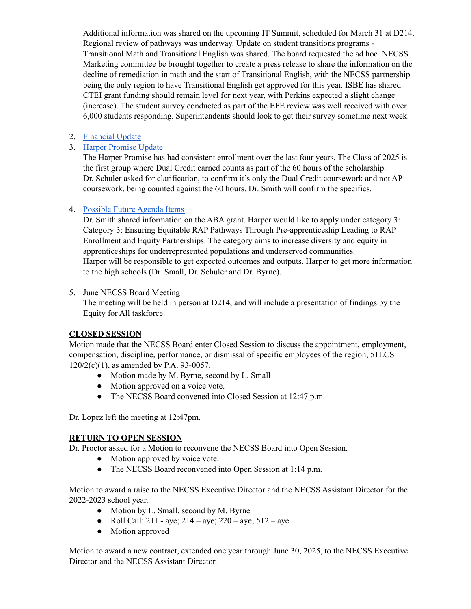Additional information was shared on the upcoming IT Summit, scheduled for March 31 at D214. Regional review of pathways was underway. Update on student transitions programs - Transitional Math and Transitional English was shared. The board requested the ad hoc NECSS Marketing committee be brought together to create a press release to share the information on the decline of remediation in math and the start of Transitional English, with the NECSS partnership being the only region to have Transitional English get approved for this year. ISBE has shared CTEI grant funding should remain level for next year, with Perkins expected a slight change (increase). The student survey conducted as part of the EFE review was well received with over 6,000 students responding. Superintendents should look to get their survey sometime next week.

2. [Financial](https://docs.google.com/document/d/11oPbXT-HLgCFuwKyO2R9jC_ZIOEvsxpJmLfQ1aCGztM/edit?usp=sharing) Update

#### 3. Harper [Promise](https://drive.google.com/file/d/1SoaBN7-KOhCRhd2sxiOzPENDN-BjaHMq/view?usp=sharing) Update

The Harper Promise has had consistent enrollment over the last four years. The Class of 2025 is the first group where Dual Credit earned counts as part of the 60 hours of the scholarship. Dr. Schuler asked for clarification, to confirm it's only the Dual Credit coursework and not AP coursework, being counted against the 60 hours. Dr. Smith will confirm the specifics.

## 4. [Possible](https://docs.google.com/document/d/1dad2_ZIwsxb1JHJCNoB52xBAV3ngrS7xS-wSrDngQss/edit?usp=sharing) Future Agenda Items

Dr. Smith shared information on the ABA grant. Harper would like to apply under category 3: Category 3: Ensuring Equitable RAP Pathways Through Pre-apprenticeship Leading to RAP Enrollment and Equity Partnerships. The category aims to increase diversity and equity in apprenticeships for underrepresented populations and underserved communities. Harper will be responsible to get expected outcomes and outputs. Harper to get more information to the high schools (Dr. Small, Dr. Schuler and Dr. Byrne).

#### 5. June NECSS Board Meeting

The meeting will be held in person at D214, and will include a presentation of findings by the Equity for All taskforce.

## **CLOSED SESSION**

Motion made that the NECSS Board enter Closed Session to discuss the appointment, employment, compensation, discipline, performance, or dismissal of specific employees of the region, 51LCS 120/2(c)(1), as amended by P.A. 93-0057.

- Motion made by M. Byrne, second by L. Small
- Motion approved on a voice vote.
- The NECSS Board convened into Closed Session at 12:47 p.m.

Dr. Lopez left the meeting at 12:47pm.

## **RETURN TO OPEN SESSION**

Dr. Proctor asked for a Motion to reconvene the NECSS Board into Open Session.

- Motion approved by voice vote.
- The NECSS Board reconvened into Open Session at 1:14 p.m.

Motion to award a raise to the NECSS Executive Director and the NECSS Assistant Director for the 2022-2023 school year.

- Motion by L. Small, second by M. Byrne
- Roll Call:  $211 ave$ ;  $214 ave$ ;  $220 ave$ ;  $512 ave$
- Motion approved

Motion to award a new contract, extended one year through June 30, 2025, to the NECSS Executive Director and the NECSS Assistant Director.